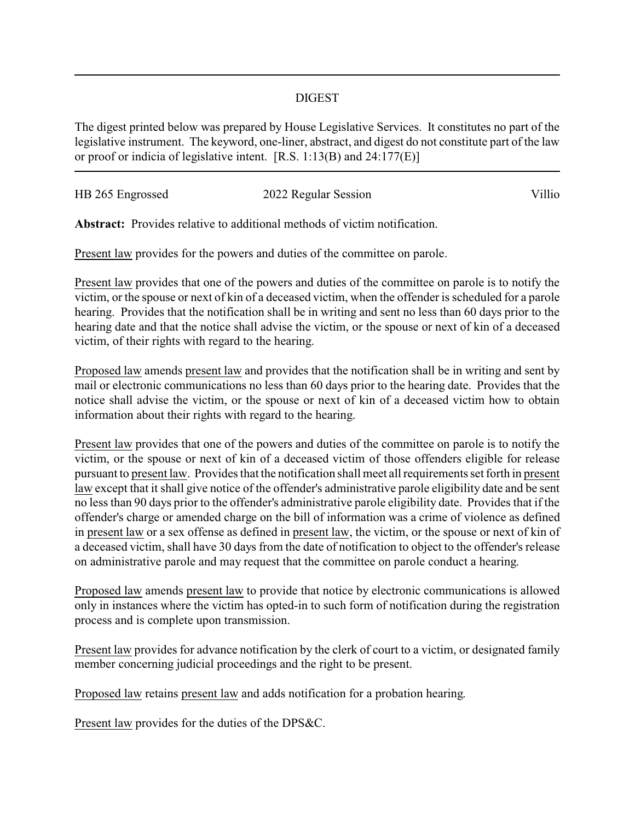## DIGEST

The digest printed below was prepared by House Legislative Services. It constitutes no part of the legislative instrument. The keyword, one-liner, abstract, and digest do not constitute part of the law or proof or indicia of legislative intent. [R.S. 1:13(B) and 24:177(E)]

| HB 265 Engrossed | 2022 Regular Session | Villio |
|------------------|----------------------|--------|
|                  |                      |        |

**Abstract:** Provides relative to additional methods of victim notification.

Present law provides for the powers and duties of the committee on parole.

Present law provides that one of the powers and duties of the committee on parole is to notify the victim, or the spouse or next of kin of a deceased victim, when the offender is scheduled for a parole hearing. Provides that the notification shall be in writing and sent no less than 60 days prior to the hearing date and that the notice shall advise the victim, or the spouse or next of kin of a deceased victim, of their rights with regard to the hearing.

Proposed law amends present law and provides that the notification shall be in writing and sent by mail or electronic communications no less than 60 days prior to the hearing date. Provides that the notice shall advise the victim, or the spouse or next of kin of a deceased victim how to obtain information about their rights with regard to the hearing.

Present law provides that one of the powers and duties of the committee on parole is to notify the victim, or the spouse or next of kin of a deceased victim of those offenders eligible for release pursuant to present law. Provides that the notification shall meet all requirements set forth in present law except that it shall give notice of the offender's administrative parole eligibility date and be sent no less than 90 days prior to the offender's administrative parole eligibility date. Provides that if the offender's charge or amended charge on the bill of information was a crime of violence as defined in present law or a sex offense as defined in present law, the victim, or the spouse or next of kin of a deceased victim, shall have 30 days from the date of notification to object to the offender's release on administrative parole and may request that the committee on parole conduct a hearing.

Proposed law amends present law to provide that notice by electronic communications is allowed only in instances where the victim has opted-in to such form of notification during the registration process and is complete upon transmission.

Present law provides for advance notification by the clerk of court to a victim, or designated family member concerning judicial proceedings and the right to be present.

Proposed law retains present law and adds notification for a probation hearing.

Present law provides for the duties of the DPS&C.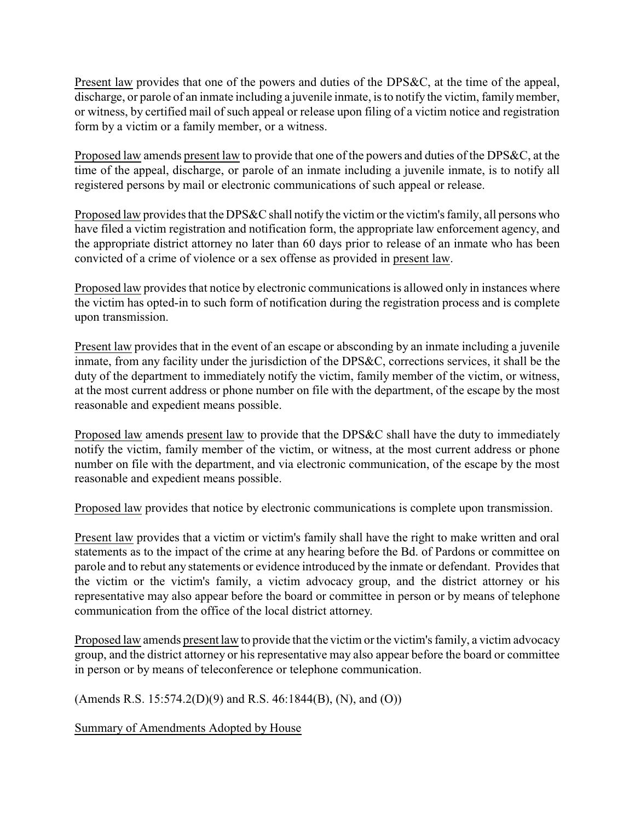Present law provides that one of the powers and duties of the DPS&C, at the time of the appeal, discharge, or parole of an inmate including a juvenile inmate, is to notify the victim, family member, or witness, by certified mail of such appeal or release upon filing of a victim notice and registration form by a victim or a family member, or a witness.

Proposed law amends present law to provide that one of the powers and duties of the DPS&C, at the time of the appeal, discharge, or parole of an inmate including a juvenile inmate, is to notify all registered persons by mail or electronic communications of such appeal or release.

Proposed law provides that the DPS&C shall notify the victim or the victim's family, all persons who have filed a victim registration and notification form, the appropriate law enforcement agency, and the appropriate district attorney no later than 60 days prior to release of an inmate who has been convicted of a crime of violence or a sex offense as provided in present law.

Proposed law provides that notice by electronic communications is allowed only in instances where the victim has opted-in to such form of notification during the registration process and is complete upon transmission.

Present law provides that in the event of an escape or absconding by an inmate including a juvenile inmate, from any facility under the jurisdiction of the DPS&C, corrections services, it shall be the duty of the department to immediately notify the victim, family member of the victim, or witness, at the most current address or phone number on file with the department, of the escape by the most reasonable and expedient means possible.

Proposed law amends present law to provide that the DPS&C shall have the duty to immediately notify the victim, family member of the victim, or witness, at the most current address or phone number on file with the department, and via electronic communication, of the escape by the most reasonable and expedient means possible.

Proposed law provides that notice by electronic communications is complete upon transmission.

Present law provides that a victim or victim's family shall have the right to make written and oral statements as to the impact of the crime at any hearing before the Bd. of Pardons or committee on parole and to rebut any statements or evidence introduced by the inmate or defendant. Provides that the victim or the victim's family, a victim advocacy group, and the district attorney or his representative may also appear before the board or committee in person or by means of telephone communication from the office of the local district attorney.

Proposed law amends present law to provide that the victim or the victim's family, a victim advocacy group, and the district attorney or his representative may also appear before the board or committee in person or by means of teleconference or telephone communication.

(Amends R.S. 15:574.2(D)(9) and R.S. 46:1844(B), (N), and (O))

Summary of Amendments Adopted by House